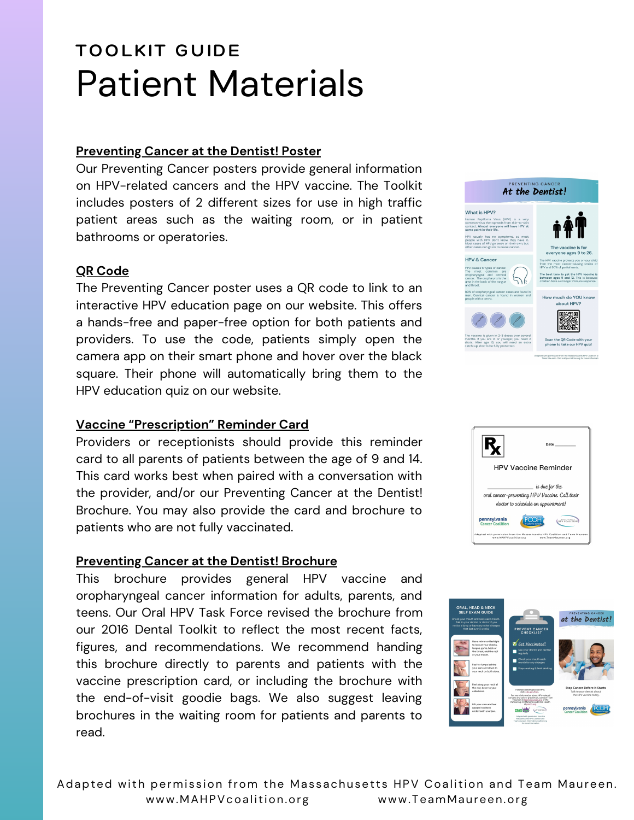# **TOOLKIT GUIDE** Patient Materials

### **Preventing Cancer at the Dentist! Poster**

Our Preventing Cancer posters provide general information on HPV-related cancers and the HPV vaccine. The Toolkit includes posters of 2 different sizes for use in high traffic patient areas such as the waiting room, or in patient bathrooms or operatories.

### **QR Code**

The Preventing Cancer poster uses a QR code to link to an interactive HPV education page on our website. This offers a hands-free and paper-free option for both patients and providers. To use the code, patients simply open the camera app on their smart phone and hover over the black square. Their phone will automatically bring them to the HPV education quiz on our website.

#### **Vaccine "Prescription" Reminder Card**

Providers or receptionists should provide this reminder card to all parents of patients between the age of 9 and 14. This card works best when paired with a conversation with the provider, and/or our Preventing Cancer at the Dentist! Brochure. You may also provide the card and brochure to patients who are not fully vaccinated.

#### **Preventing Cancer at the Dentist! Brochure**

This brochure provides general HPV vaccine and oropharyngeal cancer information for adults, parents, and teens. Our Oral HPV Task Force revised the brochure from our 2016 Dental Toolkit to reflect the most recent facts, figures, and recommendations. We recommend handing this brochure directly to parents and patients with the vaccine prescription card, or including the brochure with the end-of-visit goodie bags. We also suggest leaving brochures in the waiting room for patients and parents to read.